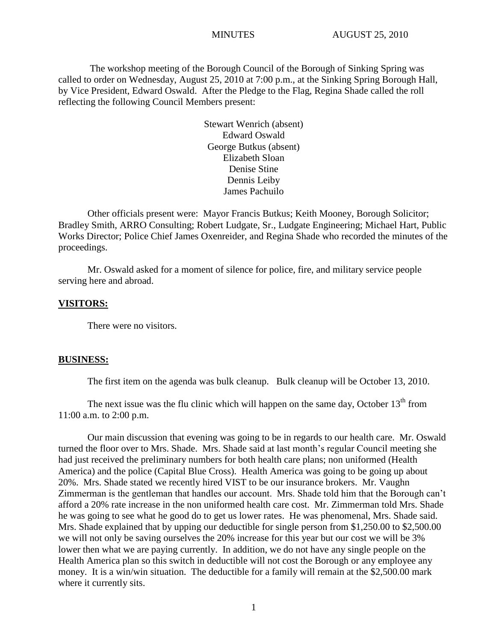The workshop meeting of the Borough Council of the Borough of Sinking Spring was called to order on Wednesday, August 25, 2010 at 7:00 p.m., at the Sinking Spring Borough Hall, by Vice President, Edward Oswald. After the Pledge to the Flag, Regina Shade called the roll reflecting the following Council Members present:

> Stewart Wenrich (absent) Edward Oswald George Butkus (absent) Elizabeth Sloan Denise Stine Dennis Leiby James Pachuilo

Other officials present were: Mayor Francis Butkus; Keith Mooney, Borough Solicitor; Bradley Smith, ARRO Consulting; Robert Ludgate, Sr., Ludgate Engineering; Michael Hart, Public Works Director; Police Chief James Oxenreider, and Regina Shade who recorded the minutes of the proceedings.

Mr. Oswald asked for a moment of silence for police, fire, and military service people serving here and abroad.

# **VISITORS:**

There were no visitors.

#### **BUSINESS:**

The first item on the agenda was bulk cleanup. Bulk cleanup will be October 13, 2010.

The next issue was the flu clinic which will happen on the same day, October  $13<sup>th</sup>$  from 11:00 a.m. to 2:00 p.m.

Our main discussion that evening was going to be in regards to our health care. Mr. Oswald turned the floor over to Mrs. Shade. Mrs. Shade said at last month's regular Council meeting she had just received the preliminary numbers for both health care plans; non uniformed (Health America) and the police (Capital Blue Cross). Health America was going to be going up about 20%. Mrs. Shade stated we recently hired VIST to be our insurance brokers. Mr. Vaughn Zimmerman is the gentleman that handles our account. Mrs. Shade told him that the Borough can"t afford a 20% rate increase in the non uniformed health care cost. Mr. Zimmerman told Mrs. Shade he was going to see what he good do to get us lower rates. He was phenomenal, Mrs. Shade said. Mrs. Shade explained that by upping our deductible for single person from \$1,250.00 to \$2,500.00 we will not only be saving ourselves the 20% increase for this year but our cost we will be 3% lower then what we are paying currently. In addition, we do not have any single people on the Health America plan so this switch in deductible will not cost the Borough or any employee any money. It is a win/win situation. The deductible for a family will remain at the \$2,500.00 mark where it currently sits.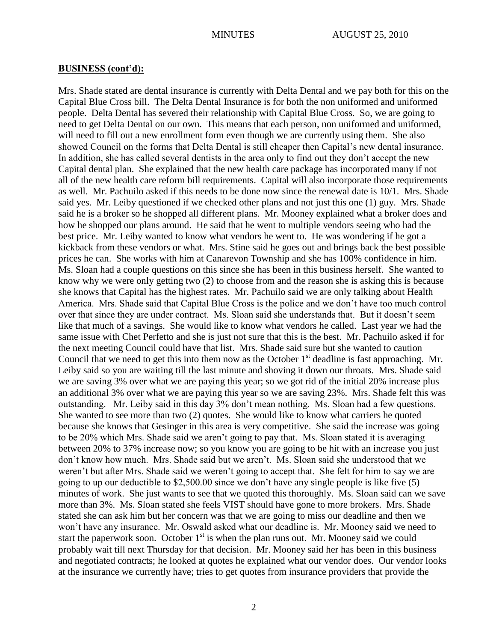Mrs. Shade stated are dental insurance is currently with Delta Dental and we pay both for this on the Capital Blue Cross bill. The Delta Dental Insurance is for both the non uniformed and uniformed people. Delta Dental has severed their relationship with Capital Blue Cross. So, we are going to need to get Delta Dental on our own. This means that each person, non uniformed and uniformed, will need to fill out a new enrollment form even though we are currently using them. She also showed Council on the forms that Delta Dental is still cheaper then Capital's new dental insurance. In addition, she has called several dentists in the area only to find out they don"t accept the new Capital dental plan. She explained that the new health care package has incorporated many if not all of the new health care reform bill requirements. Capital will also incorporate those requirements as well. Mr. Pachuilo asked if this needs to be done now since the renewal date is 10/1. Mrs. Shade said yes. Mr. Leiby questioned if we checked other plans and not just this one (1) guy. Mrs. Shade said he is a broker so he shopped all different plans. Mr. Mooney explained what a broker does and how he shopped our plans around. He said that he went to multiple vendors seeing who had the best price. Mr. Leiby wanted to know what vendors he went to. He was wondering if he got a kickback from these vendors or what. Mrs. Stine said he goes out and brings back the best possible prices he can. She works with him at Canarevon Township and she has 100% confidence in him. Ms. Sloan had a couple questions on this since she has been in this business herself. She wanted to know why we were only getting two (2) to choose from and the reason she is asking this is because she knows that Capital has the highest rates. Mr. Pachuilo said we are only talking about Health America. Mrs. Shade said that Capital Blue Cross is the police and we don"t have too much control over that since they are under contract. Ms. Sloan said she understands that. But it doesn"t seem like that much of a savings. She would like to know what vendors he called. Last year we had the same issue with Chet Perfetto and she is just not sure that this is the best. Mr. Pachuilo asked if for the next meeting Council could have that list. Mrs. Shade said sure but she wanted to caution Council that we need to get this into them now as the October  $1<sup>st</sup>$  deadline is fast approaching. Mr. Leiby said so you are waiting till the last minute and shoving it down our throats. Mrs. Shade said we are saving 3% over what we are paying this year; so we got rid of the initial 20% increase plus an additional 3% over what we are paying this year so we are saving 23%. Mrs. Shade felt this was outstanding. Mr. Leiby said in this day 3% don"t mean nothing. Ms. Sloan had a few questions. She wanted to see more than two (2) quotes. She would like to know what carriers he quoted because she knows that Gesinger in this area is very competitive. She said the increase was going to be 20% which Mrs. Shade said we aren"t going to pay that. Ms. Sloan stated it is averaging between 20% to 37% increase now; so you know you are going to be hit with an increase you just don"t know how much. Mrs. Shade said but we aren"t. Ms. Sloan said she understood that we weren"t but after Mrs. Shade said we weren"t going to accept that. She felt for him to say we are going to up our deductible to \$2,500.00 since we don"t have any single people is like five (5) minutes of work. She just wants to see that we quoted this thoroughly. Ms. Sloan said can we save more than 3%. Ms. Sloan stated she feels VIST should have gone to more brokers. Mrs. Shade stated she can ask him but her concern was that we are going to miss our deadline and then we won"t have any insurance. Mr. Oswald asked what our deadline is. Mr. Mooney said we need to start the paperwork soon. October  $1<sup>st</sup>$  is when the plan runs out. Mr. Mooney said we could probably wait till next Thursday for that decision. Mr. Mooney said her has been in this business and negotiated contracts; he looked at quotes he explained what our vendor does. Our vendor looks at the insurance we currently have; tries to get quotes from insurance providers that provide the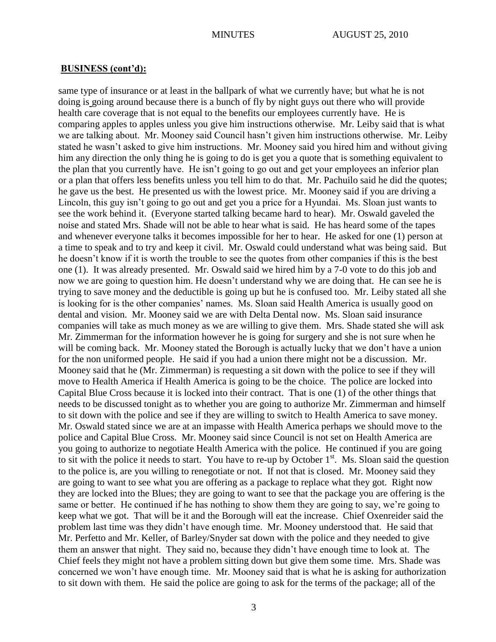same type of insurance or at least in the ballpark of what we currently have; but what he is not doing is going around because there is a bunch of fly by night guys out there who will provide health care coverage that is not equal to the benefits our employees currently have. He is comparing apples to apples unless you give him instructions otherwise. Mr. Leiby said that is what we are talking about. Mr. Mooney said Council hasn"t given him instructions otherwise. Mr. Leiby stated he wasn"t asked to give him instructions. Mr. Mooney said you hired him and without giving him any direction the only thing he is going to do is get you a quote that is something equivalent to the plan that you currently have. He isn"t going to go out and get your employees an inferior plan or a plan that offers less benefits unless you tell him to do that. Mr. Pachuilo said he did the quotes; he gave us the best. He presented us with the lowest price. Mr. Mooney said if you are driving a Lincoln, this guy isn"t going to go out and get you a price for a Hyundai. Ms. Sloan just wants to see the work behind it. (Everyone started talking became hard to hear). Mr. Oswald gaveled the noise and stated Mrs. Shade will not be able to hear what is said. He has heard some of the tapes and whenever everyone talks it becomes impossible for her to hear. He asked for one (1) person at a time to speak and to try and keep it civil. Mr. Oswald could understand what was being said. But he doesn"t know if it is worth the trouble to see the quotes from other companies if this is the best one (1). It was already presented. Mr. Oswald said we hired him by a 7-0 vote to do this job and now we are going to question him. He doesn't understand why we are doing that. He can see he is trying to save money and the deductible is going up but he is confused too. Mr. Leiby stated all she is looking for is the other companies' names. Ms. Sloan said Health America is usually good on dental and vision. Mr. Mooney said we are with Delta Dental now. Ms. Sloan said insurance companies will take as much money as we are willing to give them. Mrs. Shade stated she will ask Mr. Zimmerman for the information however he is going for surgery and she is not sure when he will be coming back. Mr. Mooney stated the Borough is actually lucky that we don't have a union for the non uniformed people. He said if you had a union there might not be a discussion. Mr. Mooney said that he (Mr. Zimmerman) is requesting a sit down with the police to see if they will move to Health America if Health America is going to be the choice. The police are locked into Capital Blue Cross because it is locked into their contract. That is one (1) of the other things that needs to be discussed tonight as to whether you are going to authorize Mr. Zimmerman and himself to sit down with the police and see if they are willing to switch to Health America to save money. Mr. Oswald stated since we are at an impasse with Health America perhaps we should move to the police and Capital Blue Cross. Mr. Mooney said since Council is not set on Health America are you going to authorize to negotiate Health America with the police. He continued if you are going to sit with the police it needs to start. You have to re-up by October  $1<sup>st</sup>$ . Ms. Sloan said the question to the police is, are you willing to renegotiate or not. If not that is closed. Mr. Mooney said they are going to want to see what you are offering as a package to replace what they got. Right now they are locked into the Blues; they are going to want to see that the package you are offering is the same or better. He continued if he has nothing to show them they are going to say, we're going to keep what we got. That will be it and the Borough will eat the increase. Chief Oxenreider said the problem last time was they didn"t have enough time. Mr. Mooney understood that. He said that Mr. Perfetto and Mr. Keller, of Barley/Snyder sat down with the police and they needed to give them an answer that night. They said no, because they didn"t have enough time to look at. The Chief feels they might not have a problem sitting down but give them some time. Mrs. Shade was concerned we won"t have enough time. Mr. Mooney said that is what he is asking for authorization to sit down with them. He said the police are going to ask for the terms of the package; all of the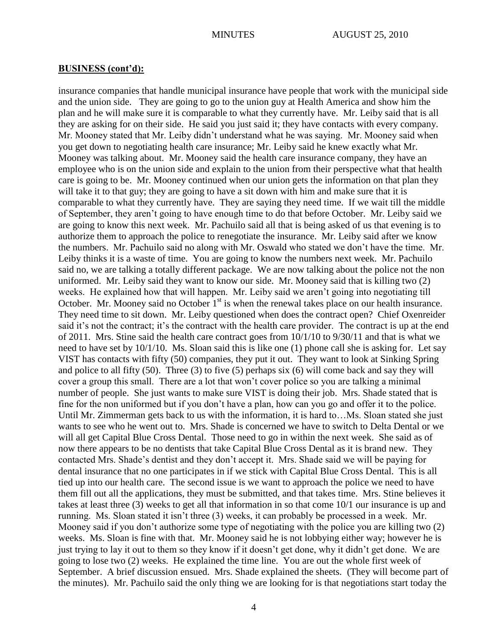insurance companies that handle municipal insurance have people that work with the municipal side and the union side. They are going to go to the union guy at Health America and show him the plan and he will make sure it is comparable to what they currently have. Mr. Leiby said that is all they are asking for on their side. He said you just said it; they have contacts with every company. Mr. Mooney stated that Mr. Leiby didn"t understand what he was saying. Mr. Mooney said when you get down to negotiating health care insurance; Mr. Leiby said he knew exactly what Mr. Mooney was talking about. Mr. Mooney said the health care insurance company, they have an employee who is on the union side and explain to the union from their perspective what that health care is going to be. Mr. Mooney continued when our union gets the information on that plan they will take it to that guy; they are going to have a sit down with him and make sure that it is comparable to what they currently have. They are saying they need time. If we wait till the middle of September, they aren"t going to have enough time to do that before October. Mr. Leiby said we are going to know this next week. Mr. Pachuilo said all that is being asked of us that evening is to authorize them to approach the police to renegotiate the insurance. Mr. Leiby said after we know the numbers. Mr. Pachuilo said no along with Mr. Oswald who stated we don"t have the time. Mr. Leiby thinks it is a waste of time. You are going to know the numbers next week. Mr. Pachuilo said no, we are talking a totally different package. We are now talking about the police not the non uniformed. Mr. Leiby said they want to know our side. Mr. Mooney said that is killing two (2) weeks. He explained how that will happen. Mr. Leiby said we aren"t going into negotiating till October. Mr. Mooney said no October  $1<sup>st</sup>$  is when the renewal takes place on our health insurance. They need time to sit down. Mr. Leiby questioned when does the contract open? Chief Oxenreider said it's not the contract; it's the contract with the health care provider. The contract is up at the end of 2011. Mrs. Stine said the health care contract goes from 10/1/10 to 9/30/11 and that is what we need to have set by 10/1/10. Ms. Sloan said this is like one (1) phone call she is asking for. Let say VIST has contacts with fifty (50) companies, they put it out. They want to look at Sinking Spring and police to all fifty (50). Three (3) to five (5) perhaps six (6) will come back and say they will cover a group this small. There are a lot that won't cover police so you are talking a minimal number of people. She just wants to make sure VIST is doing their job. Mrs. Shade stated that is fine for the non uniformed but if you don"t have a plan, how can you go and offer it to the police. Until Mr. Zimmerman gets back to us with the information, it is hard to…Ms. Sloan stated she just wants to see who he went out to. Mrs. Shade is concerned we have to switch to Delta Dental or we will all get Capital Blue Cross Dental. Those need to go in within the next week. She said as of now there appears to be no dentists that take Capital Blue Cross Dental as it is brand new. They contacted Mrs. Shade"s dentist and they don"t accept it. Mrs. Shade said we will be paying for dental insurance that no one participates in if we stick with Capital Blue Cross Dental. This is all tied up into our health care. The second issue is we want to approach the police we need to have them fill out all the applications, they must be submitted, and that takes time. Mrs. Stine believes it takes at least three (3) weeks to get all that information in so that come 10/1 our insurance is up and running. Ms. Sloan stated it isn"t three (3) weeks, it can probably be processed in a week. Mr. Mooney said if you don"t authorize some type of negotiating with the police you are killing two (2) weeks. Ms. Sloan is fine with that. Mr. Mooney said he is not lobbying either way; however he is just trying to lay it out to them so they know if it doesn't get done, why it didn't get done. We are going to lose two (2) weeks. He explained the time line. You are out the whole first week of September. A brief discussion ensued. Mrs. Shade explained the sheets. (They will become part of the minutes). Mr. Pachuilo said the only thing we are looking for is that negotiations start today the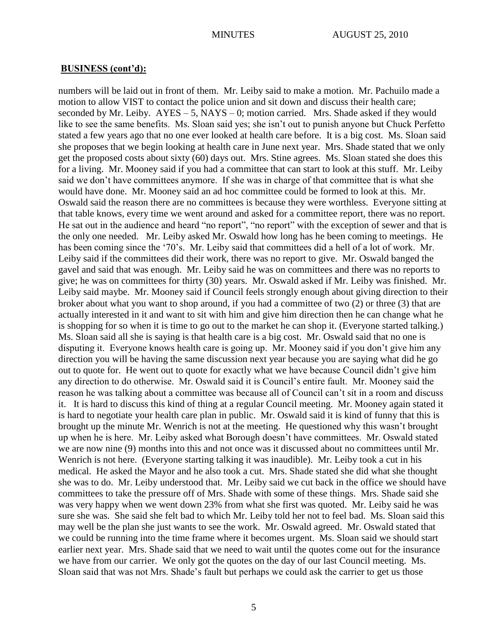numbers will be laid out in front of them. Mr. Leiby said to make a motion. Mr. Pachuilo made a motion to allow VIST to contact the police union and sit down and discuss their health care; seconded by Mr. Leiby.  $AYES - 5$ ,  $NAYS - 0$ ; motion carried. Mrs. Shade asked if they would like to see the same benefits. Ms. Sloan said yes; she isn't out to punish anyone but Chuck Perfetto stated a few years ago that no one ever looked at health care before. It is a big cost. Ms. Sloan said she proposes that we begin looking at health care in June next year. Mrs. Shade stated that we only get the proposed costs about sixty (60) days out. Mrs. Stine agrees. Ms. Sloan stated she does this for a living. Mr. Mooney said if you had a committee that can start to look at this stuff. Mr. Leiby said we don"t have committees anymore. If she was in charge of that committee that is what she would have done. Mr. Mooney said an ad hoc committee could be formed to look at this. Mr. Oswald said the reason there are no committees is because they were worthless. Everyone sitting at that table knows, every time we went around and asked for a committee report, there was no report. He sat out in the audience and heard "no report", "no report" with the exception of sewer and that is the only one needed. Mr. Leiby asked Mr. Oswald how long has he been coming to meetings. He has been coming since the '70's. Mr. Leiby said that committees did a hell of a lot of work. Mr. Leiby said if the committees did their work, there was no report to give. Mr. Oswald banged the gavel and said that was enough. Mr. Leiby said he was on committees and there was no reports to give; he was on committees for thirty (30) years. Mr. Oswald asked if Mr. Leiby was finished. Mr. Leiby said maybe. Mr. Mooney said if Council feels strongly enough about giving direction to their broker about what you want to shop around, if you had a committee of two (2) or three (3) that are actually interested in it and want to sit with him and give him direction then he can change what he is shopping for so when it is time to go out to the market he can shop it. (Everyone started talking.) Ms. Sloan said all she is saying is that health care is a big cost. Mr. Oswald said that no one is disputing it. Everyone knows health care is going up. Mr. Mooney said if you don't give him any direction you will be having the same discussion next year because you are saying what did he go out to quote for. He went out to quote for exactly what we have because Council didn"t give him any direction to do otherwise. Mr. Oswald said it is Council"s entire fault. Mr. Mooney said the reason he was talking about a committee was because all of Council can"t sit in a room and discuss it. It is hard to discuss this kind of thing at a regular Council meeting. Mr. Mooney again stated it is hard to negotiate your health care plan in public. Mr. Oswald said it is kind of funny that this is brought up the minute Mr. Wenrich is not at the meeting. He questioned why this wasn"t brought up when he is here. Mr. Leiby asked what Borough doesn"t have committees. Mr. Oswald stated we are now nine (9) months into this and not once was it discussed about no committees until Mr. Wenrich is not here. (Everyone starting talking it was inaudible). Mr. Leiby took a cut in his medical. He asked the Mayor and he also took a cut. Mrs. Shade stated she did what she thought she was to do. Mr. Leiby understood that. Mr. Leiby said we cut back in the office we should have committees to take the pressure off of Mrs. Shade with some of these things. Mrs. Shade said she was very happy when we went down 23% from what she first was quoted. Mr. Leiby said he was sure she was. She said she felt bad to which Mr. Leiby told her not to feel bad. Ms. Sloan said this may well be the plan she just wants to see the work. Mr. Oswald agreed. Mr. Oswald stated that we could be running into the time frame where it becomes urgent. Ms. Sloan said we should start earlier next year. Mrs. Shade said that we need to wait until the quotes come out for the insurance we have from our carrier. We only got the quotes on the day of our last Council meeting. Ms. Sloan said that was not Mrs. Shade"s fault but perhaps we could ask the carrier to get us those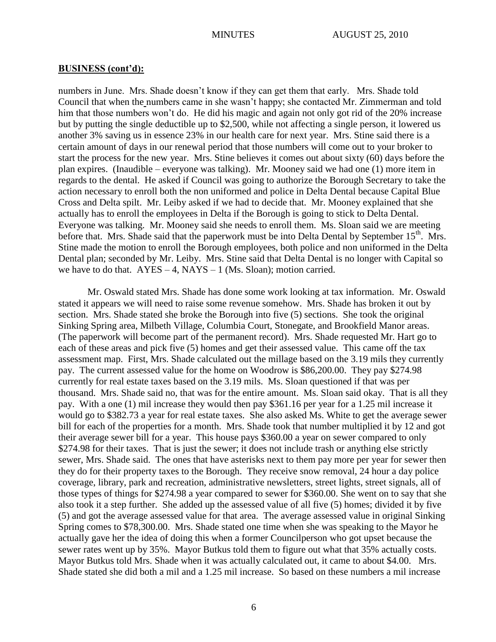numbers in June. Mrs. Shade doesn"t know if they can get them that early. Mrs. Shade told Council that when the numbers came in she wasn"t happy; she contacted Mr. Zimmerman and told him that those numbers won't do. He did his magic and again not only got rid of the 20% increase but by putting the single deductible up to \$2,500, while not affecting a single person, it lowered us another 3% saving us in essence 23% in our health care for next year. Mrs. Stine said there is a certain amount of days in our renewal period that those numbers will come out to your broker to start the process for the new year. Mrs. Stine believes it comes out about sixty (60) days before the plan expires. (Inaudible – everyone was talking). Mr. Mooney said we had one (1) more item in regards to the dental. He asked if Council was going to authorize the Borough Secretary to take the action necessary to enroll both the non uniformed and police in Delta Dental because Capital Blue Cross and Delta spilt. Mr. Leiby asked if we had to decide that. Mr. Mooney explained that she actually has to enroll the employees in Delta if the Borough is going to stick to Delta Dental. Everyone was talking. Mr. Mooney said she needs to enroll them. Ms. Sloan said we are meeting before that. Mrs. Shade said that the paperwork must be into Delta Dental by September 15<sup>th</sup>. Mrs. Stine made the motion to enroll the Borough employees, both police and non uniformed in the Delta Dental plan; seconded by Mr. Leiby. Mrs. Stine said that Delta Dental is no longer with Capital so we have to do that.  $AYES - 4$ ,  $NAYS - 1$  (Ms. Sloan); motion carried.

Mr. Oswald stated Mrs. Shade has done some work looking at tax information. Mr. Oswald stated it appears we will need to raise some revenue somehow. Mrs. Shade has broken it out by section. Mrs. Shade stated she broke the Borough into five (5) sections. She took the original Sinking Spring area, Milbeth Village, Columbia Court, Stonegate, and Brookfield Manor areas. (The paperwork will become part of the permanent record). Mrs. Shade requested Mr. Hart go to each of these areas and pick five (5) homes and get their assessed value. This came off the tax assessment map. First, Mrs. Shade calculated out the millage based on the 3.19 mils they currently pay. The current assessed value for the home on Woodrow is \$86,200.00. They pay \$274.98 currently for real estate taxes based on the 3.19 mils. Ms. Sloan questioned if that was per thousand. Mrs. Shade said no, that was for the entire amount. Ms. Sloan said okay. That is all they pay. With a one (1) mil increase they would then pay \$361.16 per year for a 1.25 mil increase it would go to \$382.73 a year for real estate taxes. She also asked Ms. White to get the average sewer bill for each of the properties for a month. Mrs. Shade took that number multiplied it by 12 and got their average sewer bill for a year. This house pays \$360.00 a year on sewer compared to only \$274.98 for their taxes. That is just the sewer; it does not include trash or anything else strictly sewer, Mrs. Shade said. The ones that have asterisks next to them pay more per year for sewer then they do for their property taxes to the Borough. They receive snow removal, 24 hour a day police coverage, library, park and recreation, administrative newsletters, street lights, street signals, all of those types of things for \$274.98 a year compared to sewer for \$360.00. She went on to say that she also took it a step further. She added up the assessed value of all five (5) homes; divided it by five (5) and got the average assessed value for that area. The average assessed value in original Sinking Spring comes to \$78,300.00. Mrs. Shade stated one time when she was speaking to the Mayor he actually gave her the idea of doing this when a former Councilperson who got upset because the sewer rates went up by 35%. Mayor Butkus told them to figure out what that 35% actually costs. Mayor Butkus told Mrs. Shade when it was actually calculated out, it came to about \$4.00. Mrs. Shade stated she did both a mil and a 1.25 mil increase. So based on these numbers a mil increase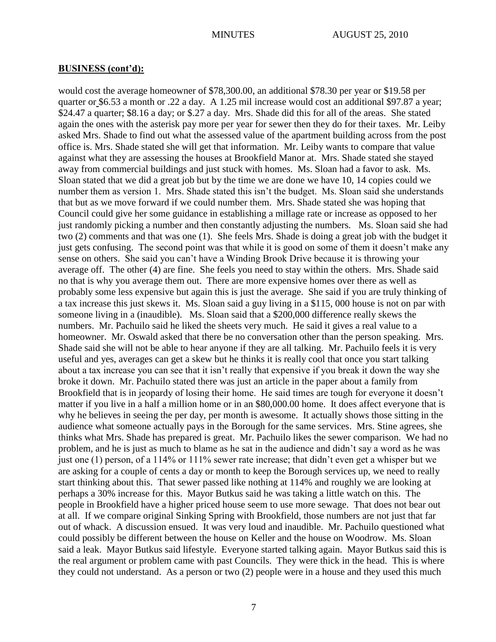would cost the average homeowner of \$78,300.00, an additional \$78.30 per year or \$19.58 per quarter or \$6.53 a month or .22 a day. A 1.25 mil increase would cost an additional \$97.87 a year; \$24.47 a quarter; \$8.16 a day; or \$.27 a day. Mrs. Shade did this for all of the areas. She stated again the ones with the asterisk pay more per year for sewer then they do for their taxes. Mr. Leiby asked Mrs. Shade to find out what the assessed value of the apartment building across from the post office is. Mrs. Shade stated she will get that information. Mr. Leiby wants to compare that value against what they are assessing the houses at Brookfield Manor at. Mrs. Shade stated she stayed away from commercial buildings and just stuck with homes. Ms. Sloan had a favor to ask. Ms. Sloan stated that we did a great job but by the time we are done we have 10, 14 copies could we number them as version 1. Mrs. Shade stated this isn't the budget. Ms. Sloan said she understands that but as we move forward if we could number them. Mrs. Shade stated she was hoping that Council could give her some guidance in establishing a millage rate or increase as opposed to her just randomly picking a number and then constantly adjusting the numbers. Ms. Sloan said she had two (2) comments and that was one (1). She feels Mrs. Shade is doing a great job with the budget it just gets confusing. The second point was that while it is good on some of them it doesn't make any sense on others. She said you can"t have a Winding Brook Drive because it is throwing your average off. The other (4) are fine. She feels you need to stay within the others. Mrs. Shade said no that is why you average them out. There are more expensive homes over there as well as probably some less expensive but again this is just the average. She said if you are truly thinking of a tax increase this just skews it. Ms. Sloan said a guy living in a \$115, 000 house is not on par with someone living in a (inaudible). Ms. Sloan said that a \$200,000 difference really skews the numbers. Mr. Pachuilo said he liked the sheets very much. He said it gives a real value to a homeowner. Mr. Oswald asked that there be no conversation other than the person speaking. Mrs. Shade said she will not be able to hear anyone if they are all talking. Mr. Pachuilo feels it is very useful and yes, averages can get a skew but he thinks it is really cool that once you start talking about a tax increase you can see that it isn"t really that expensive if you break it down the way she broke it down. Mr. Pachuilo stated there was just an article in the paper about a family from Brookfield that is in jeopardy of losing their home. He said times are tough for everyone it doesn't matter if you live in a half a million home or in an \$80,000.00 home. It does affect everyone that is why he believes in seeing the per day, per month is awesome. It actually shows those sitting in the audience what someone actually pays in the Borough for the same services. Mrs. Stine agrees, she thinks what Mrs. Shade has prepared is great. Mr. Pachuilo likes the sewer comparison. We had no problem, and he is just as much to blame as he sat in the audience and didn"t say a word as he was just one (1) person, of a 114% or 111% sewer rate increase; that didn"t even get a whisper but we are asking for a couple of cents a day or month to keep the Borough services up, we need to really start thinking about this. That sewer passed like nothing at 114% and roughly we are looking at perhaps a 30% increase for this. Mayor Butkus said he was taking a little watch on this. The people in Brookfield have a higher priced house seem to use more sewage. That does not bear out at all. If we compare original Sinking Spring with Brookfield, those numbers are not just that far out of whack. A discussion ensued. It was very loud and inaudible. Mr. Pachuilo questioned what could possibly be different between the house on Keller and the house on Woodrow. Ms. Sloan said a leak. Mayor Butkus said lifestyle. Everyone started talking again. Mayor Butkus said this is the real argument or problem came with past Councils. They were thick in the head. This is where they could not understand. As a person or two (2) people were in a house and they used this much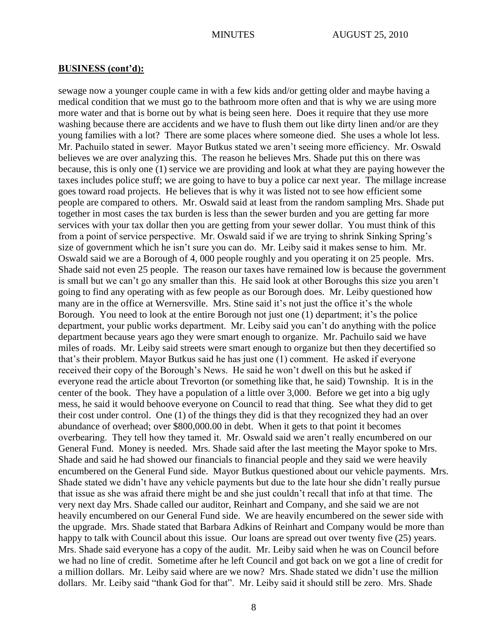sewage now a younger couple came in with a few kids and/or getting older and maybe having a medical condition that we must go to the bathroom more often and that is why we are using more more water and that is borne out by what is being seen here. Does it require that they use more washing because there are accidents and we have to flush them out like dirty linen and/or are they young families with a lot? There are some places where someone died. She uses a whole lot less. Mr. Pachuilo stated in sewer. Mayor Butkus stated we aren"t seeing more efficiency. Mr. Oswald believes we are over analyzing this. The reason he believes Mrs. Shade put this on there was because, this is only one (1) service we are providing and look at what they are paying however the taxes includes police stuff; we are going to have to buy a police car next year. The millage increase goes toward road projects. He believes that is why it was listed not to see how efficient some people are compared to others. Mr. Oswald said at least from the random sampling Mrs. Shade put together in most cases the tax burden is less than the sewer burden and you are getting far more services with your tax dollar then you are getting from your sewer dollar. You must think of this from a point of service perspective. Mr. Oswald said if we are trying to shrink Sinking Spring"s size of government which he isn"t sure you can do. Mr. Leiby said it makes sense to him. Mr. Oswald said we are a Borough of 4, 000 people roughly and you operating it on 25 people. Mrs. Shade said not even 25 people. The reason our taxes have remained low is because the government is small but we can"t go any smaller than this. He said look at other Boroughs this size you aren"t going to find any operating with as few people as our Borough does. Mr. Leiby questioned how many are in the office at Wernersville. Mrs. Stine said it's not just the office it's the whole Borough. You need to look at the entire Borough not just one (1) department; it's the police department, your public works department. Mr. Leiby said you can"t do anything with the police department because years ago they were smart enough to organize. Mr. Pachuilo said we have miles of roads. Mr. Leiby said streets were smart enough to organize but then they decertified so that"s their problem. Mayor Butkus said he has just one (1) comment. He asked if everyone received their copy of the Borough"s News. He said he won"t dwell on this but he asked if everyone read the article about Trevorton (or something like that, he said) Township. It is in the center of the book. They have a population of a little over 3,000. Before we get into a big ugly mess, he said it would behoove everyone on Council to read that thing. See what they did to get their cost under control. One (1) of the things they did is that they recognized they had an over abundance of overhead; over \$800,000.00 in debt. When it gets to that point it becomes overbearing. They tell how they tamed it. Mr. Oswald said we aren"t really encumbered on our General Fund. Money is needed. Mrs. Shade said after the last meeting the Mayor spoke to Mrs. Shade and said he had showed our financials to financial people and they said we were heavily encumbered on the General Fund side. Mayor Butkus questioned about our vehicle payments. Mrs. Shade stated we didn"t have any vehicle payments but due to the late hour she didn"t really pursue that issue as she was afraid there might be and she just couldn"t recall that info at that time. The very next day Mrs. Shade called our auditor, Reinhart and Company, and she said we are not heavily encumbered on our General Fund side. We are heavily encumbered on the sewer side with the upgrade. Mrs. Shade stated that Barbara Adkins of Reinhart and Company would be more than happy to talk with Council about this issue. Our loans are spread out over twenty five (25) years. Mrs. Shade said everyone has a copy of the audit. Mr. Leiby said when he was on Council before we had no line of credit. Sometime after he left Council and got back on we got a line of credit for a million dollars. Mr. Leiby said where are we now? Mrs. Shade stated we didn"t use the million dollars. Mr. Leiby said "thank God for that". Mr. Leiby said it should still be zero. Mrs. Shade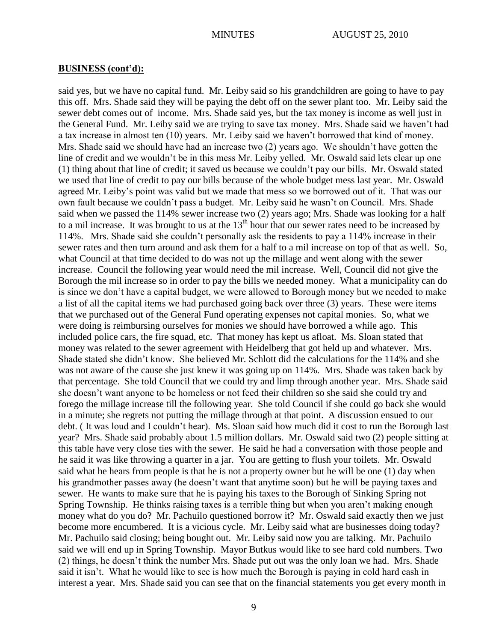said yes, but we have no capital fund. Mr. Leiby said so his grandchildren are going to have to pay this off. Mrs. Shade said they will be paying the debt off on the sewer plant too. Mr. Leiby said the sewer debt comes out of income. Mrs. Shade said yes, but the tax money is income as well just in the General Fund. Mr. Leiby said we are trying to save tax money. Mrs. Shade said we haven"t had a tax increase in almost ten (10) years. Mr. Leiby said we haven"t borrowed that kind of money. Mrs. Shade said we should have had an increase two (2) years ago. We shouldn"t have gotten the line of credit and we wouldn"t be in this mess Mr. Leiby yelled. Mr. Oswald said lets clear up one (1) thing about that line of credit; it saved us because we couldn"t pay our bills. Mr. Oswald stated we used that line of credit to pay our bills because of the whole budget mess last year. Mr. Oswald agreed Mr. Leiby"s point was valid but we made that mess so we borrowed out of it. That was our own fault because we couldn"t pass a budget. Mr. Leiby said he wasn"t on Council. Mrs. Shade said when we passed the 114% sewer increase two (2) years ago; Mrs. Shade was looking for a half to a mil increase. It was brought to us at the  $13<sup>th</sup>$  hour that our sewer rates need to be increased by 114%. Mrs. Shade said she couldn"t personally ask the residents to pay a 114% increase in their sewer rates and then turn around and ask them for a half to a mil increase on top of that as well. So, what Council at that time decided to do was not up the millage and went along with the sewer increase. Council the following year would need the mil increase. Well, Council did not give the Borough the mil increase so in order to pay the bills we needed money. What a municipality can do is since we don"t have a capital budget, we were allowed to Borough money but we needed to make a list of all the capital items we had purchased going back over three (3) years. These were items that we purchased out of the General Fund operating expenses not capital monies. So, what we were doing is reimbursing ourselves for monies we should have borrowed a while ago. This included police cars, the fire squad, etc. That money has kept us afloat. Ms. Sloan stated that money was related to the sewer agreement with Heidelberg that got held up and whatever. Mrs. Shade stated she didn"t know. She believed Mr. Schlott did the calculations for the 114% and she was not aware of the cause she just knew it was going up on 114%. Mrs. Shade was taken back by that percentage. She told Council that we could try and limp through another year. Mrs. Shade said she doesn"t want anyone to be homeless or not feed their children so she said she could try and forego the millage increase till the following year. She told Council if she could go back she would in a minute; she regrets not putting the millage through at that point. A discussion ensued to our debt. ( It was loud and I couldn"t hear). Ms. Sloan said how much did it cost to run the Borough last year? Mrs. Shade said probably about 1.5 million dollars. Mr. Oswald said two (2) people sitting at this table have very close ties with the sewer. He said he had a conversation with those people and he said it was like throwing a quarter in a jar. You are getting to flush your toilets. Mr. Oswald said what he hears from people is that he is not a property owner but he will be one (1) day when his grandmother passes away (he doesn't want that anytime soon) but he will be paying taxes and sewer. He wants to make sure that he is paying his taxes to the Borough of Sinking Spring not Spring Township. He thinks raising taxes is a terrible thing but when you aren"t making enough money what do you do? Mr. Pachuilo questioned borrow it? Mr. Oswald said exactly then we just become more encumbered. It is a vicious cycle. Mr. Leiby said what are businesses doing today? Mr. Pachuilo said closing; being bought out. Mr. Leiby said now you are talking. Mr. Pachuilo said we will end up in Spring Township. Mayor Butkus would like to see hard cold numbers. Two (2) things, he doesn"t think the number Mrs. Shade put out was the only loan we had. Mrs. Shade said it isn"t. What he would like to see is how much the Borough is paying in cold hard cash in interest a year. Mrs. Shade said you can see that on the financial statements you get every month in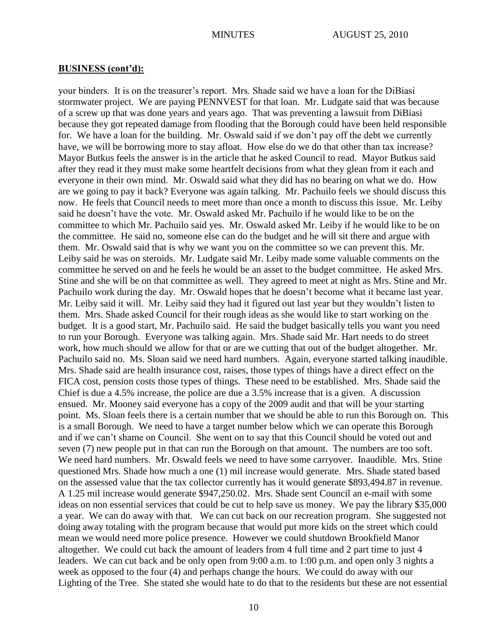your binders. It is on the treasurer"s report. Mrs. Shade said we have a loan for the DiBiasi stormwater project. We are paying PENNVEST for that loan. Mr. Ludgate said that was because of a screw up that was done years and years ago. That was preventing a lawsuit from DiBiasi because they got repeated damage from flooding that the Borough could have been held responsible for. We have a loan for the building. Mr. Oswald said if we don"t pay off the debt we currently have, we will be borrowing more to stay afloat. How else do we do that other than tax increase? Mayor Butkus feels the answer is in the article that he asked Council to read. Mayor Butkus said after they read it they must make some heartfelt decisions from what they glean from it each and everyone in their own mind. Mr. Oswald said what they did has no bearing on what we do. How are we going to pay it back? Everyone was again talking. Mr. Pachuilo feels we should discuss this now. He feels that Council needs to meet more than once a month to discuss this issue. Mr. Leiby said he doesn"t have the vote. Mr. Oswald asked Mr. Pachuilo if he would like to be on the committee to which Mr. Pachuilo said yes. Mr. Oswald asked Mr. Leiby if he would like to be on the committee. He said no, someone else can do the budget and he will sit there and argue with them. Mr. Oswald said that is why we want you on the committee so we can prevent this. Mr. Leiby said he was on steroids. Mr. Ludgate said Mr. Leiby made some valuable comments on the committee he served on and he feels he would be an asset to the budget committee. He asked Mrs. Stine and she will be on that committee as well. They agreed to meet at night as Mrs. Stine and Mr. Pachuilo work during the day. Mr. Oswald hopes that he doesn"t become what it became last year. Mr. Leiby said it will. Mr. Leiby said they had it figured out last year but they wouldn"t listen to them. Mrs. Shade asked Council for their rough ideas as she would like to start working on the budget. It is a good start, Mr. Pachuilo said. He said the budget basically tells you want you need to run your Borough. Everyone was talking again. Mrs. Shade said Mr. Hart needs to do street work, how much should we allow for that or are we cutting that out of the budget altogether. Mr. Pachuilo said no. Ms. Sloan said we need hard numbers. Again, everyone started talking inaudible. Mrs. Shade said are health insurance cost, raises, those types of things have a direct effect on the FICA cost, pension costs those types of things. These need to be established. Mrs. Shade said the Chief is due a 4.5% increase, the police are due a 3.5% increase that is a given. A discussion ensued. Mr. Mooney said everyone has a copy of the 2009 audit and that will be your starting point. Ms. Sloan feels there is a certain number that we should be able to run this Borough on. This is a small Borough. We need to have a target number below which we can operate this Borough and if we can"t shame on Council. She went on to say that this Council should be voted out and seven (7) new people put in that can run the Borough on that amount. The numbers are too soft. We need hard numbers. Mr. Oswald feels we need to have some carryover. Inaudible. Mrs. Stine questioned Mrs. Shade how much a one (1) mil increase would generate. Mrs. Shade stated based on the assessed value that the tax collector currently has it would generate \$893,494.87 in revenue. A 1.25 mil increase would generate \$947,250.02. Mrs. Shade sent Council an e-mail with some ideas on non essential services that could be cut to help save us money. We pay the library \$35,000 a year. We can do away with that. We can cut back on our recreation program. She suggested not doing away totaling with the program because that would put more kids on the street which could mean we would need more police presence. However we could shutdown Brookfield Manor altogether. We could cut back the amount of leaders from 4 full time and 2 part time to just 4 leaders. We can cut back and be only open from 9:00 a.m. to 1:00 p.m. and open only 3 nights a week as opposed to the four (4) and perhaps change the hours. We could do away with our Lighting of the Tree. She stated she would hate to do that to the residents but these are not essential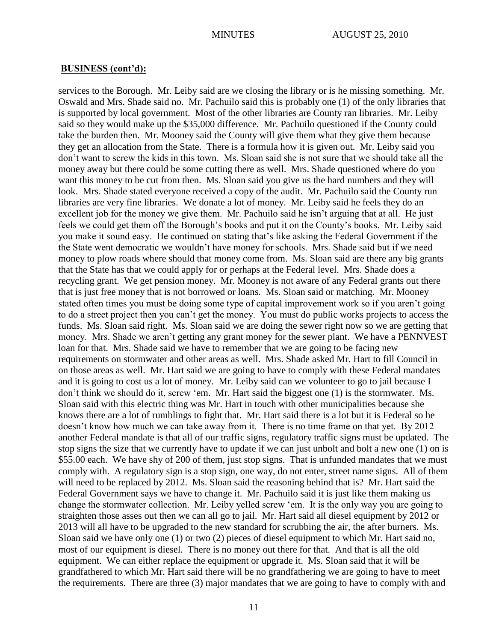services to the Borough. Mr. Leiby said are we closing the library or is he missing something. Mr. Oswald and Mrs. Shade said no. Mr. Pachuilo said this is probably one (1) of the only libraries that is supported by local government. Most of the other libraries are County ran libraries. Mr. Leiby said so they would make up the \$35,000 difference. Mr. Pachuilo questioned if the County could take the burden then. Mr. Mooney said the County will give them what they give them because they get an allocation from the State. There is a formula how it is given out. Mr. Leiby said you don"t want to screw the kids in this town. Ms. Sloan said she is not sure that we should take all the money away but there could be some cutting there as well. Mrs. Shade questioned where do you want this money to be cut from then. Ms. Sloan said you give us the hard numbers and they will look. Mrs. Shade stated everyone received a copy of the audit. Mr. Pachuilo said the County run libraries are very fine libraries. We donate a lot of money. Mr. Leiby said he feels they do an excellent job for the money we give them. Mr. Pachuilo said he isn't arguing that at all. He just feels we could get them off the Borough's books and put it on the County's books. Mr. Leiby said you make it sound easy. He continued on stating that"s like asking the Federal Government if the the State went democratic we wouldn"t have money for schools. Mrs. Shade said but if we need money to plow roads where should that money come from. Ms. Sloan said are there any big grants that the State has that we could apply for or perhaps at the Federal level. Mrs. Shade does a recycling grant. We get pension money. Mr. Mooney is not aware of any Federal grants out there that is just free money that is not borrowed or loans. Ms. Sloan said or matching. Mr. Mooney stated often times you must be doing some type of capital improvement work so if you aren"t going to do a street project then you can"t get the money. You must do public works projects to access the funds. Ms. Sloan said right. Ms. Sloan said we are doing the sewer right now so we are getting that money. Mrs. Shade we aren"t getting any grant money for the sewer plant. We have a PENNVEST loan for that. Mrs. Shade said we have to remember that we are going to be facing new requirements on stormwater and other areas as well. Mrs. Shade asked Mr. Hart to fill Council in on those areas as well. Mr. Hart said we are going to have to comply with these Federal mandates and it is going to cost us a lot of money. Mr. Leiby said can we volunteer to go to jail because I don"t think we should do it, screw "em. Mr. Hart said the biggest one (1) is the stormwater. Ms. Sloan said with this electric thing was Mr. Hart in touch with other municipalities because she knows there are a lot of rumblings to fight that. Mr. Hart said there is a lot but it is Federal so he doesn't know how much we can take away from it. There is no time frame on that yet. By 2012 another Federal mandate is that all of our traffic signs, regulatory traffic signs must be updated. The stop signs the size that we currently have to update if we can just unbolt and bolt a new one (1) on is \$55.00 each. We have shy of 200 of them, just stop signs. That is unfunded mandates that we must comply with. A regulatory sign is a stop sign, one way, do not enter, street name signs. All of them will need to be replaced by 2012. Ms. Sloan said the reasoning behind that is? Mr. Hart said the Federal Government says we have to change it. Mr. Pachuilo said it is just like them making us change the stormwater collection. Mr. Leiby yelled screw "em. It is the only way you are going to straighten those asses out then we can all go to jail. Mr. Hart said all diesel equipment by 2012 or 2013 will all have to be upgraded to the new standard for scrubbing the air, the after burners. Ms. Sloan said we have only one (1) or two (2) pieces of diesel equipment to which Mr. Hart said no, most of our equipment is diesel. There is no money out there for that. And that is all the old equipment. We can either replace the equipment or upgrade it. Ms. Sloan said that it will be grandfathered to which Mr. Hart said there will be no grandfathering we are going to have to meet the requirements. There are three (3) major mandates that we are going to have to comply with and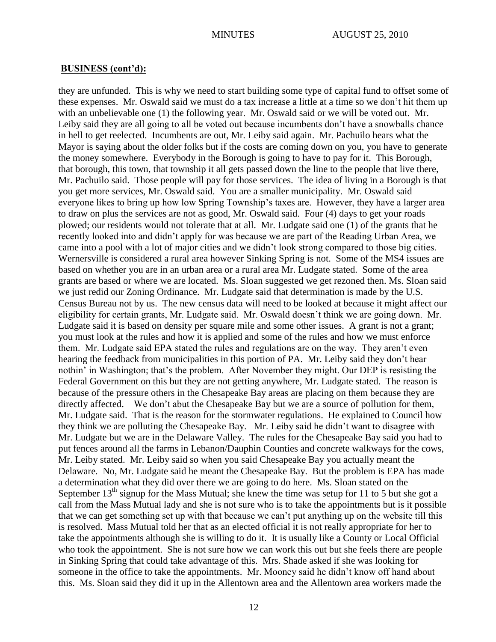they are unfunded. This is why we need to start building some type of capital fund to offset some of these expenses. Mr. Oswald said we must do a tax increase a little at a time so we don"t hit them up with an unbelievable one (1) the following year. Mr. Oswald said or we will be voted out. Mr. Leiby said they are all going to all be voted out because incumbents don't have a snowballs chance in hell to get reelected. Incumbents are out, Mr. Leiby said again. Mr. Pachuilo hears what the Mayor is saying about the older folks but if the costs are coming down on you, you have to generate the money somewhere. Everybody in the Borough is going to have to pay for it. This Borough, that borough, this town, that township it all gets passed down the line to the people that live there, Mr. Pachuilo said. Those people will pay for those services. The idea of living in a Borough is that you get more services, Mr. Oswald said. You are a smaller municipality. Mr. Oswald said everyone likes to bring up how low Spring Township"s taxes are. However, they have a larger area to draw on plus the services are not as good, Mr. Oswald said. Four (4) days to get your roads plowed; our residents would not tolerate that at all. Mr. Ludgate said one (1) of the grants that he recently looked into and didn"t apply for was because we are part of the Reading Urban Area, we came into a pool with a lot of major cities and we didn"t look strong compared to those big cities. Wernersville is considered a rural area however Sinking Spring is not. Some of the MS4 issues are based on whether you are in an urban area or a rural area Mr. Ludgate stated. Some of the area grants are based or where we are located. Ms. Sloan suggested we get rezoned then. Ms. Sloan said we just redid our Zoning Ordinance. Mr. Ludgate said that determination is made by the U.S. Census Bureau not by us. The new census data will need to be looked at because it might affect our eligibility for certain grants, Mr. Ludgate said. Mr. Oswald doesn"t think we are going down. Mr. Ludgate said it is based on density per square mile and some other issues. A grant is not a grant; you must look at the rules and how it is applied and some of the rules and how we must enforce them. Mr. Ludgate said EPA stated the rules and regulations are on the way. They aren"t even hearing the feedback from municipalities in this portion of PA. Mr. Leiby said they don"t hear nothin' in Washington; that's the problem. After November they might. Our DEP is resisting the Federal Government on this but they are not getting anywhere, Mr. Ludgate stated. The reason is because of the pressure others in the Chesapeake Bay areas are placing on them because they are directly affected. We don't abut the Chesapeake Bay but we are a source of pollution for them, Mr. Ludgate said. That is the reason for the stormwater regulations. He explained to Council how they think we are polluting the Chesapeake Bay. Mr. Leiby said he didn"t want to disagree with Mr. Ludgate but we are in the Delaware Valley. The rules for the Chesapeake Bay said you had to put fences around all the farms in Lebanon/Dauphin Counties and concrete walkways for the cows, Mr. Leiby stated. Mr. Leiby said so when you said Chesapeake Bay you actually meant the Delaware. No, Mr. Ludgate said he meant the Chesapeake Bay. But the problem is EPA has made a determination what they did over there we are going to do here. Ms. Sloan stated on the September  $13<sup>th</sup>$  signup for the Mass Mutual; she knew the time was setup for 11 to 5 but she got a call from the Mass Mutual lady and she is not sure who is to take the appointments but is it possible that we can get something set up with that because we can"t put anything up on the website till this is resolved. Mass Mutual told her that as an elected official it is not really appropriate for her to take the appointments although she is willing to do it. It is usually like a County or Local Official who took the appointment. She is not sure how we can work this out but she feels there are people in Sinking Spring that could take advantage of this. Mrs. Shade asked if she was looking for someone in the office to take the appointments. Mr. Mooney said he didn"t know off hand about this. Ms. Sloan said they did it up in the Allentown area and the Allentown area workers made the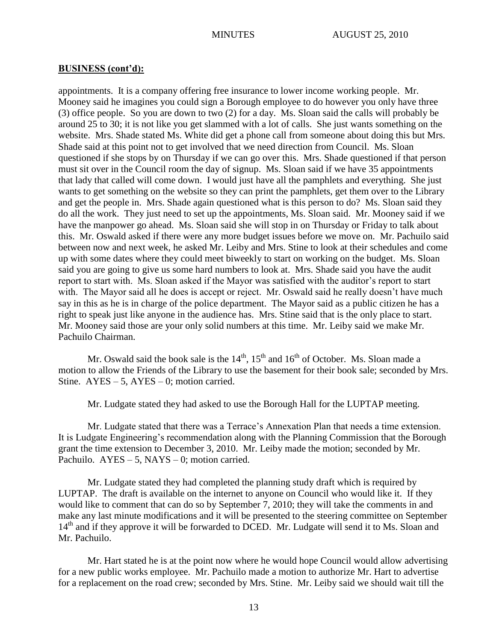appointments. It is a company offering free insurance to lower income working people. Mr. Mooney said he imagines you could sign a Borough employee to do however you only have three (3) office people. So you are down to two (2) for a day. Ms. Sloan said the calls will probably be around 25 to 30; it is not like you get slammed with a lot of calls. She just wants something on the website. Mrs. Shade stated Ms. White did get a phone call from someone about doing this but Mrs. Shade said at this point not to get involved that we need direction from Council. Ms. Sloan questioned if she stops by on Thursday if we can go over this. Mrs. Shade questioned if that person must sit over in the Council room the day of signup. Ms. Sloan said if we have 35 appointments that lady that called will come down. I would just have all the pamphlets and everything. She just wants to get something on the website so they can print the pamphlets, get them over to the Library and get the people in. Mrs. Shade again questioned what is this person to do? Ms. Sloan said they do all the work. They just need to set up the appointments, Ms. Sloan said. Mr. Mooney said if we have the manpower go ahead. Ms. Sloan said she will stop in on Thursday or Friday to talk about this. Mr. Oswald asked if there were any more budget issues before we move on. Mr. Pachuilo said between now and next week, he asked Mr. Leiby and Mrs. Stine to look at their schedules and come up with some dates where they could meet biweekly to start on working on the budget. Ms. Sloan said you are going to give us some hard numbers to look at. Mrs. Shade said you have the audit report to start with. Ms. Sloan asked if the Mayor was satisfied with the auditor's report to start with. The Mayor said all he does is accept or reject. Mr. Oswald said he really doesn't have much say in this as he is in charge of the police department. The Mayor said as a public citizen he has a right to speak just like anyone in the audience has. Mrs. Stine said that is the only place to start. Mr. Mooney said those are your only solid numbers at this time. Mr. Leiby said we make Mr. Pachuilo Chairman.

Mr. Oswald said the book sale is the  $14<sup>th</sup>$ ,  $15<sup>th</sup>$  and  $16<sup>th</sup>$  of October. Ms. Sloan made a motion to allow the Friends of the Library to use the basement for their book sale; seconded by Mrs. Stine.  $AYES - 5$ ,  $AYES - 0$ ; motion carried.

Mr. Ludgate stated they had asked to use the Borough Hall for the LUPTAP meeting.

Mr. Ludgate stated that there was a Terrace"s Annexation Plan that needs a time extension. It is Ludgate Engineering"s recommendation along with the Planning Commission that the Borough grant the time extension to December 3, 2010. Mr. Leiby made the motion; seconded by Mr. Pachuilo.  $AYES - 5$ ,  $NAYS - 0$ ; motion carried.

Mr. Ludgate stated they had completed the planning study draft which is required by LUPTAP. The draft is available on the internet to anyone on Council who would like it. If they would like to comment that can do so by September 7, 2010; they will take the comments in and make any last minute modifications and it will be presented to the steering committee on September 14<sup>th</sup> and if they approve it will be forwarded to DCED. Mr. Ludgate will send it to Ms. Sloan and Mr. Pachuilo.

Mr. Hart stated he is at the point now where he would hope Council would allow advertising for a new public works employee. Mr. Pachuilo made a motion to authorize Mr. Hart to advertise for a replacement on the road crew; seconded by Mrs. Stine. Mr. Leiby said we should wait till the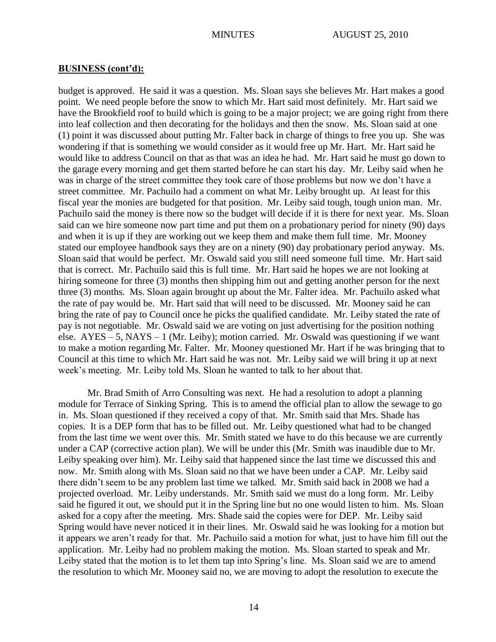budget is approved. He said it was a question. Ms. Sloan says she believes Mr. Hart makes a good point. We need people before the snow to which Mr. Hart said most definitely. Mr. Hart said we have the Brookfield roof to build which is going to be a major project; we are going right from there into leaf collection and then decorating for the holidays and then the snow. Ms. Sloan said at one (1) point it was discussed about putting Mr. Falter back in charge of things to free you up. She was wondering if that is something we would consider as it would free up Mr. Hart. Mr. Hart said he would like to address Council on that as that was an idea he had. Mr. Hart said he must go down to the garage every morning and get them started before he can start his day. Mr. Leiby said when he was in charge of the street committee they took care of those problems but now we don"t have a street committee. Mr. Pachuilo had a comment on what Mr. Leiby brought up. At least for this fiscal year the monies are budgeted for that position. Mr. Leiby said tough, tough union man. Mr. Pachuilo said the money is there now so the budget will decide if it is there for next year. Ms. Sloan said can we hire someone now part time and put them on a probationary period for ninety (90) days and when it is up if they are working out we keep them and make them full time. Mr. Mooney stated our employee handbook says they are on a ninety (90) day probationary period anyway. Ms. Sloan said that would be perfect. Mr. Oswald said you still need someone full time. Mr. Hart said that is correct. Mr. Pachuilo said this is full time. Mr. Hart said he hopes we are not looking at hiring someone for three (3) months then shipping him out and getting another person for the next three (3) months. Ms. Sloan again brought up about the Mr. Falter idea. Mr. Pachuilo asked what the rate of pay would be. Mr. Hart said that will need to be discussed. Mr. Mooney said he can bring the rate of pay to Council once he picks the qualified candidate. Mr. Leiby stated the rate of pay is not negotiable. Mr. Oswald said we are voting on just advertising for the position nothing else.  $AYES - 5$ ,  $NAYS - 1$  (Mr. Leiby); motion carried. Mr. Oswald was questioning if we want to make a motion regarding Mr. Falter. Mr. Mooney questioned Mr. Hart if he was bringing that to Council at this time to which Mr. Hart said he was not. Mr. Leiby said we will bring it up at next week's meeting. Mr. Leiby told Ms. Sloan he wanted to talk to her about that.

Mr. Brad Smith of Arro Consulting was next. He had a resolution to adopt a planning module for Terrace of Sinking Spring. This is to amend the official plan to allow the sewage to go in. Ms. Sloan questioned if they received a copy of that. Mr. Smith said that Mrs. Shade has copies. It is a DEP form that has to be filled out. Mr. Leiby questioned what had to be changed from the last time we went over this. Mr. Smith stated we have to do this because we are currently under a CAP (corrective action plan). We will be under this (Mr. Smith was inaudible due to Mr. Leiby speaking over him). Mr. Leiby said that happened since the last time we discussed this and now. Mr. Smith along with Ms. Sloan said no that we have been under a CAP. Mr. Leiby said there didn"t seem to be any problem last time we talked. Mr. Smith said back in 2008 we had a projected overload. Mr. Leiby understands. Mr. Smith said we must do a long form. Mr. Leiby said he figured it out, we should put it in the Spring line but no one would listen to him. Ms. Sloan asked for a copy after the meeting. Mrs. Shade said the copies were for DEP. Mr. Leiby said Spring would have never noticed it in their lines. Mr. Oswald said he was looking for a motion but it appears we aren"t ready for that. Mr. Pachuilo said a motion for what, just to have him fill out the application. Mr. Leiby had no problem making the motion. Ms. Sloan started to speak and Mr. Leiby stated that the motion is to let them tap into Spring's line. Ms. Sloan said we are to amend the resolution to which Mr. Mooney said no, we are moving to adopt the resolution to execute the